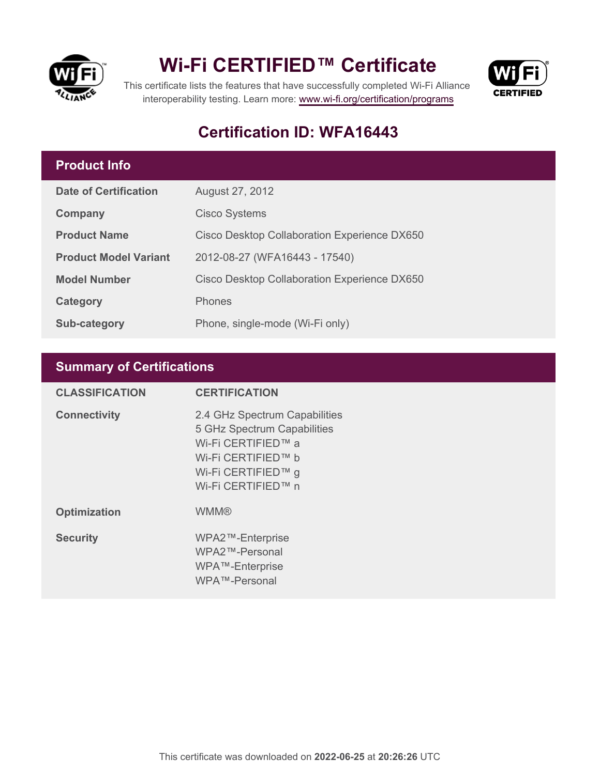

## **Wi-Fi CERTIFIED™ Certificate**



This certificate lists the features that have successfully completed Wi-Fi Alliance interoperability testing. Learn more:<www.wi-fi.org/certification/programs>

### **Certification ID: WFA16443**

#### **Product Info**

| <b>Date of Certification</b> | August 27, 2012                              |
|------------------------------|----------------------------------------------|
| Company                      | <b>Cisco Systems</b>                         |
| <b>Product Name</b>          | Cisco Desktop Collaboration Experience DX650 |
| <b>Product Model Variant</b> | 2012-08-27 (WFA16443 - 17540)                |
| <b>Model Number</b>          | Cisco Desktop Collaboration Experience DX650 |
| Category                     | <b>Phones</b>                                |
| <b>Sub-category</b>          | Phone, single-mode (Wi-Fi only)              |

#### **Summary of Certifications**

| <b>CLASSIFICATION</b> | <b>CERTIFICATION</b>                                                                                                                                 |
|-----------------------|------------------------------------------------------------------------------------------------------------------------------------------------------|
| <b>Connectivity</b>   | 2.4 GHz Spectrum Capabilities<br>5 GHz Spectrum Capabilities<br>Wi-Fi CERTIFIED™ a<br>Wi-Fi CERTIFIED™ b<br>Wi-Fi CERTIFIED™ g<br>Wi-Fi CERTIFIED™ n |
| <b>Optimization</b>   | <b>WMM®</b>                                                                                                                                          |
| <b>Security</b>       | WPA2™-Enterprise<br>WPA2™-Personal<br>WPA™-Enterprise<br>WPA™-Personal                                                                               |